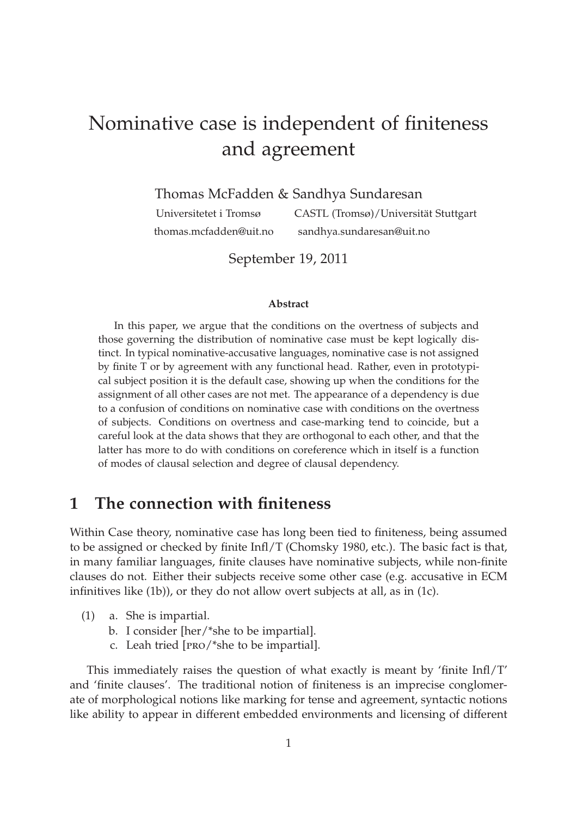# Nominative case is independent of finiteness and agreement

Thomas McFadden & Sandhya Sundaresan

Universitetet i Tromsø CASTL (Tromsø)/Universität Stuttgart thomas.mcfadden@uit.no sandhya.sundaresan@uit.no

September 19, 2011

#### **Abstract**

In this paper, we argue that the conditions on the overtness of subjects and those governing the distribution of nominative case must be kept logically distinct. In typical nominative-accusative languages, nominative case is not assigned by finite T or by agreement with any functional head. Rather, even in prototypical subject position it is the default case, showing up when the conditions for the assignment of all other cases are not met. The appearance of a dependency is due to a confusion of conditions on nominative case with conditions on the overtness of subjects. Conditions on overtness and case-marking tend to coincide, but a careful look at the data shows that they are orthogonal to each other, and that the latter has more to do with conditions on coreference which in itself is a function of modes of clausal selection and degree of clausal dependency.

# **1 The connection with finiteness**

Within Case theory, nominative case has long been tied to finiteness, being assumed to be assigned or checked by finite Infl/T (Chomsky 1980, etc.). The basic fact is that, in many familiar languages, finite clauses have nominative subjects, while non-finite clauses do not. Either their subjects receive some other case (e.g. accusative in ECM infinitives like (1b)), or they do not allow overt subjects at all, as in (1c).

- (1) a. She is impartial.
	- b. I consider [her/\*she to be impartial].
	- c. Leah tried [pro/\*she to be impartial].

This immediately raises the question of what exactly is meant by 'finite Infl/T' and 'finite clauses'. The traditional notion of finiteness is an imprecise conglomerate of morphological notions like marking for tense and agreement, syntactic notions like ability to appear in different embedded environments and licensing of different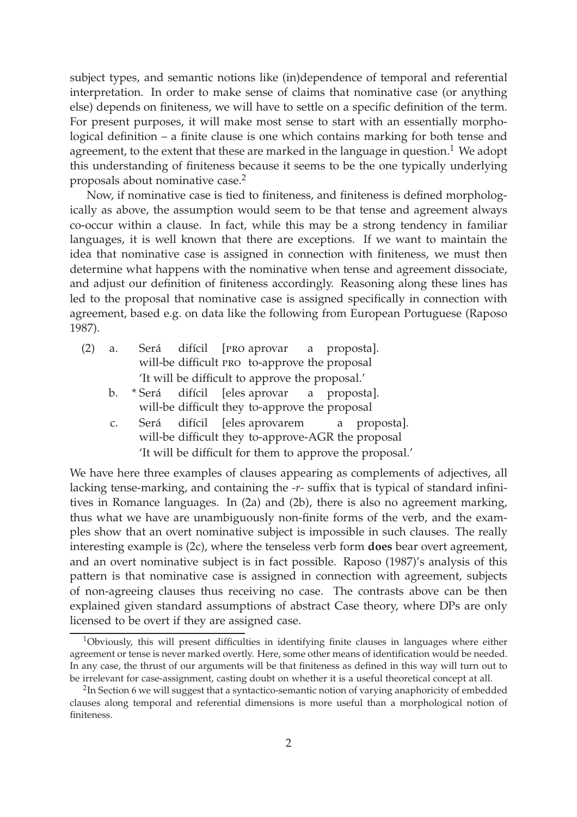subject types, and semantic notions like (in)dependence of temporal and referential interpretation. In order to make sense of claims that nominative case (or anything else) depends on finiteness, we will have to settle on a specific definition of the term. For present purposes, it will make most sense to start with an essentially morphological definition – a finite clause is one which contains marking for both tense and agreement, to the extent that these are marked in the language in question.<sup>1</sup> We adopt this understanding of finiteness because it seems to be the one typically underlying proposals about nominative case.<sup>2</sup>

Now, if nominative case is tied to finiteness, and finiteness is defined morphologically as above, the assumption would seem to be that tense and agreement always co-occur within a clause. In fact, while this may be a strong tendency in familiar languages, it is well known that there are exceptions. If we want to maintain the idea that nominative case is assigned in connection with finiteness, we must then determine what happens with the nominative when tense and agreement dissociate, and adjust our definition of finiteness accordingly. Reasoning along these lines has led to the proposal that nominative case is assigned specifically in connection with agreement, based e.g. on data like the following from European Portuguese (Raposo 1987).

| (2) | a. |                                                 |  |  |  |  | Será difícil [PRO aprovar a proposta].                                                                                                                |
|-----|----|-------------------------------------------------|--|--|--|--|-------------------------------------------------------------------------------------------------------------------------------------------------------|
|     |    |                                                 |  |  |  |  | will-be difficult PRO to-approve the proposal                                                                                                         |
|     |    | 'It will be difficult to approve the proposal.' |  |  |  |  |                                                                                                                                                       |
|     |    |                                                 |  |  |  |  | $\mathbf{L} = \mathcal{X} \mathbf{C}$ and $\mathbf{L} \mathbf{C}$ and $\mathbf{L} \mathbf{C}$ and $\mathbf{L} \mathbf{C}$ and $\mathbf{L} \mathbf{C}$ |

- b. \* Será will-be difficult they to-approve the proposal difícil [eles aprovar a proposta].
- c. Será will-be difficult they to-approve-AGR the proposal difícil [eles aprovarem a proposta]. 'It will be difficult for them to approve the proposal.'

We have here three examples of clauses appearing as complements of adjectives, all lacking tense-marking, and containing the *-r-* suffix that is typical of standard infinitives in Romance languages. In (2a) and (2b), there is also no agreement marking, thus what we have are unambiguously non-finite forms of the verb, and the examples show that an overt nominative subject is impossible in such clauses. The really interesting example is (2c), where the tenseless verb form **does** bear overt agreement, and an overt nominative subject is in fact possible. Raposo (1987)'s analysis of this pattern is that nominative case is assigned in connection with agreement, subjects of non-agreeing clauses thus receiving no case. The contrasts above can be then explained given standard assumptions of abstract Case theory, where DPs are only licensed to be overt if they are assigned case.

<sup>&</sup>lt;sup>1</sup>Obviously, this will present difficulties in identifying finite clauses in languages where either agreement or tense is never marked overtly. Here, some other means of identification would be needed. In any case, the thrust of our arguments will be that finiteness as defined in this way will turn out to be irrelevant for case-assignment, casting doubt on whether it is a useful theoretical concept at all.

 $^2$ In Section 6 we will suggest that a syntactico-semantic notion of varying anaphoricity of embedded clauses along temporal and referential dimensions is more useful than a morphological notion of finiteness.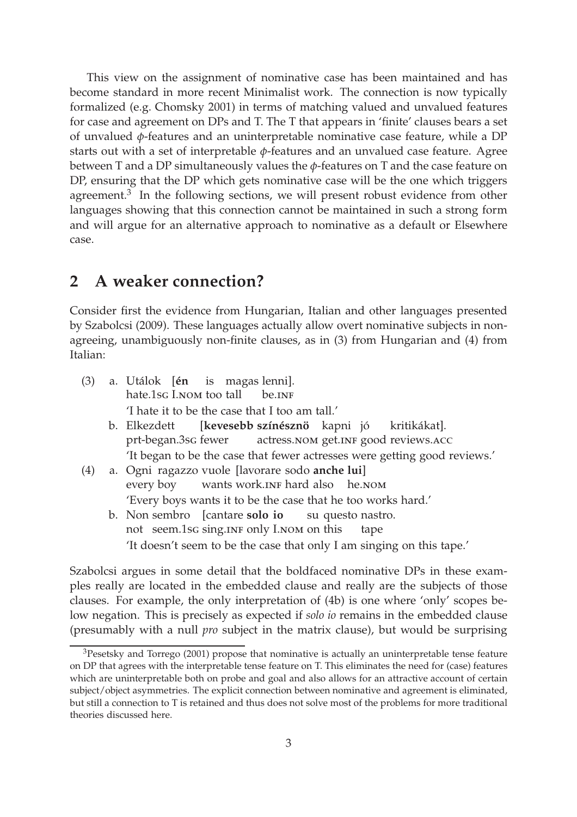This view on the assignment of nominative case has been maintained and has become standard in more recent Minimalist work. The connection is now typically formalized (e.g. Chomsky 2001) in terms of matching valued and unvalued features for case and agreement on DPs and T. The T that appears in 'finite' clauses bears a set of unvalued *φ*-features and an uninterpretable nominative case feature, while a DP starts out with a set of interpretable *φ*-features and an unvalued case feature. Agree between T and a DP simultaneously values the *φ*-features on T and the case feature on DP, ensuring that the DP which gets nominative case will be the one which triggers agreement. $3$  In the following sections, we will present robust evidence from other languages showing that this connection cannot be maintained in such a strong form and will argue for an alternative approach to nominative as a default or Elsewhere case.

### **2 A weaker connection?**

Consider first the evidence from Hungarian, Italian and other languages presented by Szabolcsi (2009). These languages actually allow overt nominative subjects in nonagreeing, unambiguously non-finite clauses, as in (3) from Hungarian and (4) from Italian:

| (3) | a. Utálok [én is magas lenni].                                            |  |  |  |  |  |
|-----|---------------------------------------------------------------------------|--|--|--|--|--|
|     | hate.1sg I.NOM too tall be.INF                                            |  |  |  |  |  |
|     | T hate it to be the case that I too am tall.                              |  |  |  |  |  |
|     | b. Elkezdett [kevesebb színésznö kapni jó kritikákat].                    |  |  |  |  |  |
|     | prt-began.3sG fewer actress.NOM get.INF good reviews.ACC                  |  |  |  |  |  |
|     | 'It began to be the case that fewer actresses were getting good reviews.' |  |  |  |  |  |
| (4) | a. Ogni ragazzo vuole [lavorare sodo anche lui]                           |  |  |  |  |  |
|     | every boy wants work. INF hard also he. NOM                               |  |  |  |  |  |
|     | 'Every boys wants it to be the case that he too works hard.'              |  |  |  |  |  |
|     | b. Non sembro [cantare solo io su questo nastro.                          |  |  |  |  |  |
|     | not seem.1sc sing.INF only I.NOM on this tape                             |  |  |  |  |  |
|     | 'It doesn't seem to be the case that only I am singing on this tape.'     |  |  |  |  |  |
|     |                                                                           |  |  |  |  |  |

Szabolcsi argues in some detail that the boldfaced nominative DPs in these examples really are located in the embedded clause and really are the subjects of those clauses. For example, the only interpretation of (4b) is one where 'only' scopes below negation. This is precisely as expected if *solo io* remains in the embedded clause (presumably with a null *pro* subject in the matrix clause), but would be surprising

 $3$ Pesetsky and Torrego (2001) propose that nominative is actually an uninterpretable tense feature on DP that agrees with the interpretable tense feature on T. This eliminates the need for (case) features which are uninterpretable both on probe and goal and also allows for an attractive account of certain subject/object asymmetries. The explicit connection between nominative and agreement is eliminated, but still a connection to T is retained and thus does not solve most of the problems for more traditional theories discussed here.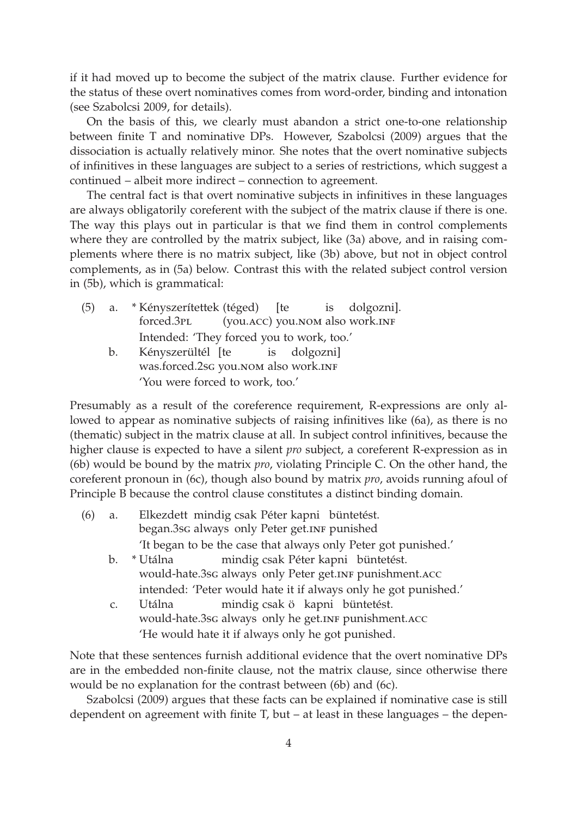if it had moved up to become the subject of the matrix clause. Further evidence for the status of these overt nominatives comes from word-order, binding and intonation (see Szabolcsi 2009, for details).

On the basis of this, we clearly must abandon a strict one-to-one relationship between finite T and nominative DPs. However, Szabolcsi (2009) argues that the dissociation is actually relatively minor. She notes that the overt nominative subjects of infinitives in these languages are subject to a series of restrictions, which suggest a continued – albeit more indirect – connection to agreement.

The central fact is that overt nominative subjects in infinitives in these languages are always obligatorily coreferent with the subject of the matrix clause if there is one. The way this plays out in particular is that we find them in control complements where they are controlled by the matrix subject, like (3a) above, and in raising complements where there is no matrix subject, like (3b) above, but not in object control complements, as in (5a) below. Contrast this with the related subject control version in (5b), which is grammatical:

(5) a. \* Kényszerítettek (téged) forced.3pl (you.acc) you.nom also work.inf [te is dolgozni]. Intended: 'They forced you to work, too.' b. Kényszerültél [te was.forced.2sG you.NOM also work.INF is dolgozni] 'You were forced to work, too.'

Presumably as a result of the coreference requirement, R-expressions are only allowed to appear as nominative subjects of raising infinitives like (6a), as there is no (thematic) subject in the matrix clause at all. In subject control infinitives, because the higher clause is expected to have a silent *pro* subject, a coreferent R-expression as in (6b) would be bound by the matrix *pro*, violating Principle C. On the other hand, the coreferent pronoun in (6c), though also bound by matrix *pro*, avoids running afoul of Principle B because the control clause constitutes a distinct binding domain.

- (6) a. Elkezdett mindig csak Péter kapni büntetést. began.3sG always only Peter get.INF punished 'It began to be the case that always only Peter got punished.' b. \* Utálna mindig csak Péter kapni büntetést.
	- would-hate.3sc always only Peter get.INF punishment.ACC intended: 'Peter would hate it if always only he got punished.'
	- c. Utálna would-hate.3sc always only he get.INF punishment.ACC mindig csak ö kapni büntetést. 'He would hate it if always only he got punished.

Note that these sentences furnish additional evidence that the overt nominative DPs are in the embedded non-finite clause, not the matrix clause, since otherwise there would be no explanation for the contrast between (6b) and (6c).

Szabolcsi (2009) argues that these facts can be explained if nominative case is still dependent on agreement with finite T, but – at least in these languages – the depen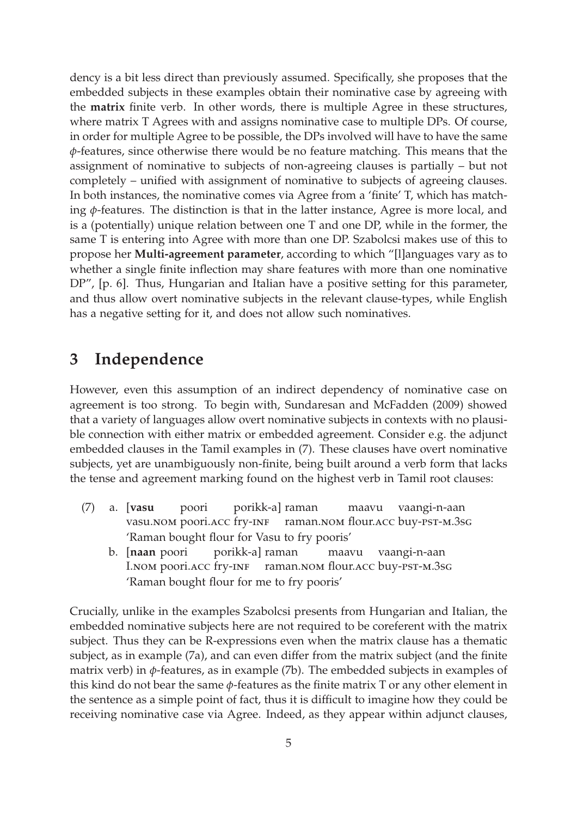dency is a bit less direct than previously assumed. Specifically, she proposes that the embedded subjects in these examples obtain their nominative case by agreeing with the **matrix** finite verb. In other words, there is multiple Agree in these structures, where matrix T Agrees with and assigns nominative case to multiple DPs. Of course, in order for multiple Agree to be possible, the DPs involved will have to have the same *φ*-features, since otherwise there would be no feature matching. This means that the assignment of nominative to subjects of non-agreeing clauses is partially – but not completely – unified with assignment of nominative to subjects of agreeing clauses. In both instances, the nominative comes via Agree from a 'finite' T, which has matching *φ*-features. The distinction is that in the latter instance, Agree is more local, and is a (potentially) unique relation between one T and one DP, while in the former, the same T is entering into Agree with more than one DP. Szabolcsi makes use of this to propose her **Multi-agreement parameter**, according to which "[l]anguages vary as to whether a single finite inflection may share features with more than one nominative DP", [p. 6]. Thus, Hungarian and Italian have a positive setting for this parameter, and thus allow overt nominative subjects in the relevant clause-types, while English has a negative setting for it, and does not allow such nominatives.

# **3 Independence**

However, even this assumption of an indirect dependency of nominative case on agreement is too strong. To begin with, Sundaresan and McFadden (2009) showed that a variety of languages allow overt nominative subjects in contexts with no plausible connection with either matrix or embedded agreement. Consider e.g. the adjunct embedded clauses in the Tamil examples in (7). These clauses have overt nominative subjects, yet are unambiguously non-finite, being built around a verb form that lacks the tense and agreement marking found on the highest verb in Tamil root clauses:

- (7) a. [**vasu** vasu.nom poori.acc fry-inf poori porikk-a] raman raman.nom flour.acc buy-pst-m.3sg maavu vaangi-n-aan 'Raman bought flour for Vasu to fry pooris'
	- b. [**naan** poori I.nom poori.acc fry-inf porikk-a] raman raman.nom flour.acc buy-pst-m.3sg maavu vaangi-n-aan 'Raman bought flour for me to fry pooris'

Crucially, unlike in the examples Szabolcsi presents from Hungarian and Italian, the embedded nominative subjects here are not required to be coreferent with the matrix subject. Thus they can be R-expressions even when the matrix clause has a thematic subject, as in example (7a), and can even differ from the matrix subject (and the finite matrix verb) in *φ*-features, as in example (7b). The embedded subjects in examples of this kind do not bear the same *φ*-features as the finite matrix T or any other element in the sentence as a simple point of fact, thus it is difficult to imagine how they could be receiving nominative case via Agree. Indeed, as they appear within adjunct clauses,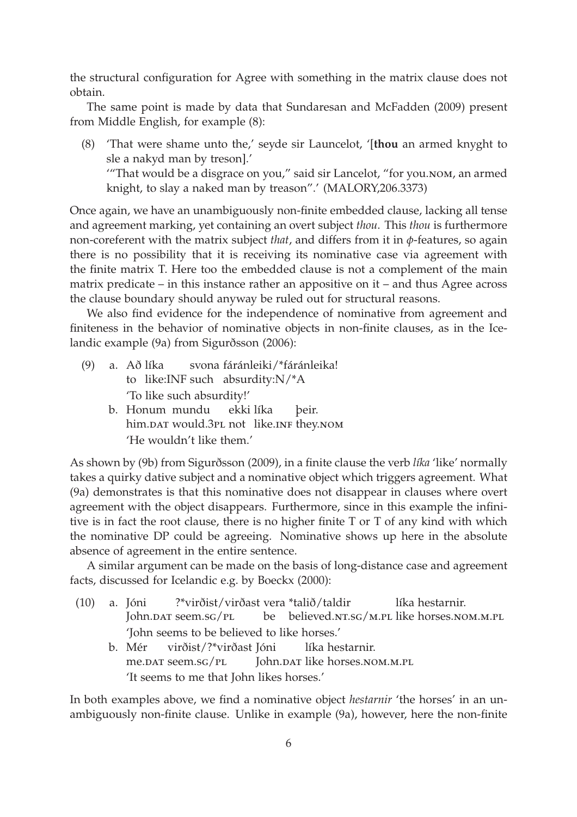the structural configuration for Agree with something in the matrix clause does not obtain.

The same point is made by data that Sundaresan and McFadden (2009) present from Middle English, for example (8):

(8) 'That were shame unto the,' seyde sir Launcelot, '[**thou** an armed knyght to sle a nakyd man by treson].' '"That would be a disgrace on you," said sir Lancelot, "for you.nom, an armed

knight, to slay a naked man by treason".' (MALORY,206.3373)

Once again, we have an unambiguously non-finite embedded clause, lacking all tense and agreement marking, yet containing an overt subject *thou*. This *thou* is furthermore non-coreferent with the matrix subject *that*, and differs from it in *φ*-features, so again there is no possibility that it is receiving its nominative case via agreement with the finite matrix T. Here too the embedded clause is not a complement of the main matrix predicate – in this instance rather an appositive on it – and thus Agree across the clause boundary should anyway be ruled out for structural reasons.

We also find evidence for the independence of nominative from agreement and finiteness in the behavior of nominative objects in non-finite clauses, as in the Icelandic example (9a) from Sigurðsson (2006):

- (9) a. Að líka to like:INF such absurdity:N/\*A svona fáránleiki/\*fáránleika! 'To like such absurdity!'
	- b. Honum mundu him.par would.3pL not like.inf they.nom ekki líka þeir. 'He wouldn't like them.'

As shown by (9b) from Sigurðsson (2009), in a finite clause the verb *líka* 'like' normally takes a quirky dative subject and a nominative object which triggers agreement. What (9a) demonstrates is that this nominative does not disappear in clauses where overt agreement with the object disappears. Furthermore, since in this example the infinitive is in fact the root clause, there is no higher finite T or T of any kind with which the nominative DP could be agreeing. Nominative shows up here in the absolute absence of agreement in the entire sentence.

A similar argument can be made on the basis of long-distance case and agreement facts, discussed for Icelandic e.g. by Boeckx (2000):

- (10) a. Jóni John.dat seem.sg/pl ?\*virðist/virðast vera \*talið/taldir be believed.nt.sg/m.pl like horses.nom.m.pl líka hestarnir. 'John seems to be believed to like horses.'
	- b. Mér me.dat seem.sg/pl virðist/?\*virðast Jóni John.dar like horses.nom.m.pl líka hestarnir. 'It seems to me that John likes horses.'

In both examples above, we find a nominative object *hestarnir* 'the horses' in an unambiguously non-finite clause. Unlike in example (9a), however, here the non-finite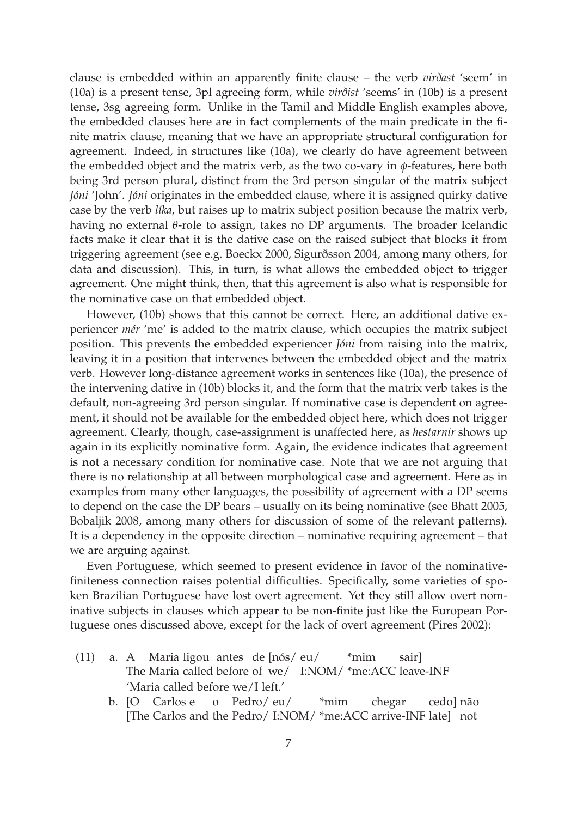clause is embedded within an apparently finite clause – the verb *virðast* 'seem' in (10a) is a present tense, 3pl agreeing form, while *virðist* 'seems' in (10b) is a present tense, 3sg agreeing form. Unlike in the Tamil and Middle English examples above, the embedded clauses here are in fact complements of the main predicate in the finite matrix clause, meaning that we have an appropriate structural configuration for agreement. Indeed, in structures like (10a), we clearly do have agreement between the embedded object and the matrix verb, as the two co-vary in *φ*-features, here both being 3rd person plural, distinct from the 3rd person singular of the matrix subject *Jóni* 'John'. *Jóni* originates in the embedded clause, where it is assigned quirky dative case by the verb *líka*, but raises up to matrix subject position because the matrix verb, having no external *θ*-role to assign, takes no DP arguments. The broader Icelandic facts make it clear that it is the dative case on the raised subject that blocks it from triggering agreement (see e.g. Boeckx 2000, Sigurðsson 2004, among many others, for data and discussion). This, in turn, is what allows the embedded object to trigger agreement. One might think, then, that this agreement is also what is responsible for the nominative case on that embedded object.

However, (10b) shows that this cannot be correct. Here, an additional dative experiencer *mér* 'me' is added to the matrix clause, which occupies the matrix subject position. This prevents the embedded experiencer *Jóni* from raising into the matrix, leaving it in a position that intervenes between the embedded object and the matrix verb. However long-distance agreement works in sentences like (10a), the presence of the intervening dative in (10b) blocks it, and the form that the matrix verb takes is the default, non-agreeing 3rd person singular. If nominative case is dependent on agreement, it should not be available for the embedded object here, which does not trigger agreement. Clearly, though, case-assignment is unaffected here, as *hestarnir* shows up again in its explicitly nominative form. Again, the evidence indicates that agreement is **not** a necessary condition for nominative case. Note that we are not arguing that there is no relationship at all between morphological case and agreement. Here as in examples from many other languages, the possibility of agreement with a DP seems to depend on the case the DP bears – usually on its being nominative (see Bhatt 2005, Bobaljik 2008, among many others for discussion of some of the relevant patterns). It is a dependency in the opposite direction – nominative requiring agreement – that we are arguing against.

Even Portuguese, which seemed to present evidence in favor of the nominativefiniteness connection raises potential difficulties. Specifically, some varieties of spoken Brazilian Portuguese have lost overt agreement. Yet they still allow overt nominative subjects in clauses which appear to be non-finite just like the European Portuguese ones discussed above, except for the lack of overt agreement (Pires 2002):

- (11) a. A Maria ligou antes de [nós/ eu/ The Maria called before of we/ I:NOM/ \*me:ACC leave-INF \*mim sair] 'Maria called before we/I left.'
	- b. [O Carlos e [The Carlos and the Pedro/ I:NOM/ \*me:ACC arrive-INF late] not o Pedro/ eu/ \*mim chegar cedo] não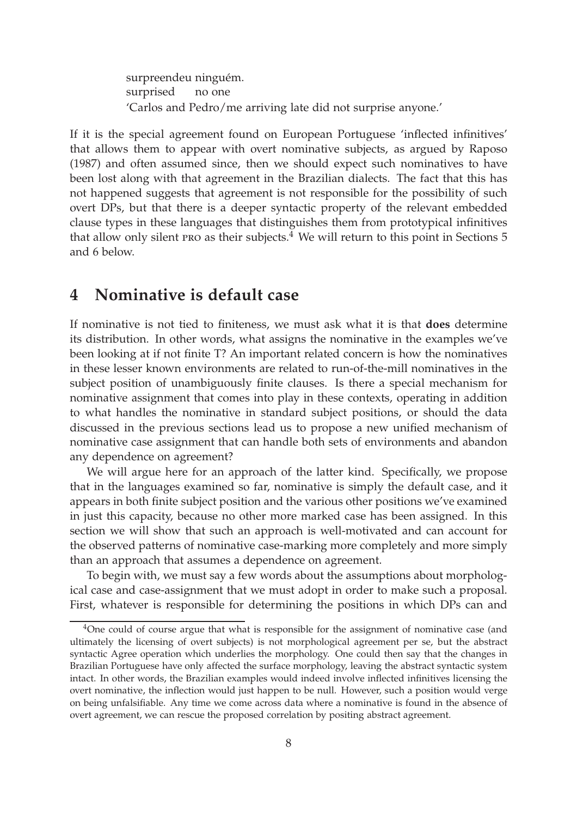surpreendeu ninguém. surprised no one 'Carlos and Pedro/me arriving late did not surprise anyone.'

If it is the special agreement found on European Portuguese 'inflected infinitives' that allows them to appear with overt nominative subjects, as argued by Raposo (1987) and often assumed since, then we should expect such nominatives to have been lost along with that agreement in the Brazilian dialects. The fact that this has not happened suggests that agreement is not responsible for the possibility of such overt DPs, but that there is a deeper syntactic property of the relevant embedded clause types in these languages that distinguishes them from prototypical infinitives that allow only silent pro as their subjects. $4$  We will return to this point in Sections 5 and 6 below.

# **4 Nominative is default case**

If nominative is not tied to finiteness, we must ask what it is that **does** determine its distribution. In other words, what assigns the nominative in the examples we've been looking at if not finite T? An important related concern is how the nominatives in these lesser known environments are related to run-of-the-mill nominatives in the subject position of unambiguously finite clauses. Is there a special mechanism for nominative assignment that comes into play in these contexts, operating in addition to what handles the nominative in standard subject positions, or should the data discussed in the previous sections lead us to propose a new unified mechanism of nominative case assignment that can handle both sets of environments and abandon any dependence on agreement?

We will argue here for an approach of the latter kind. Specifically, we propose that in the languages examined so far, nominative is simply the default case, and it appears in both finite subject position and the various other positions we've examined in just this capacity, because no other more marked case has been assigned. In this section we will show that such an approach is well-motivated and can account for the observed patterns of nominative case-marking more completely and more simply than an approach that assumes a dependence on agreement.

To begin with, we must say a few words about the assumptions about morphological case and case-assignment that we must adopt in order to make such a proposal. First, whatever is responsible for determining the positions in which DPs can and

 $4$ One could of course argue that what is responsible for the assignment of nominative case (and ultimately the licensing of overt subjects) is not morphological agreement per se, but the abstract syntactic Agree operation which underlies the morphology. One could then say that the changes in Brazilian Portuguese have only affected the surface morphology, leaving the abstract syntactic system intact. In other words, the Brazilian examples would indeed involve inflected infinitives licensing the overt nominative, the inflection would just happen to be null. However, such a position would verge on being unfalsifiable. Any time we come across data where a nominative is found in the absence of overt agreement, we can rescue the proposed correlation by positing abstract agreement.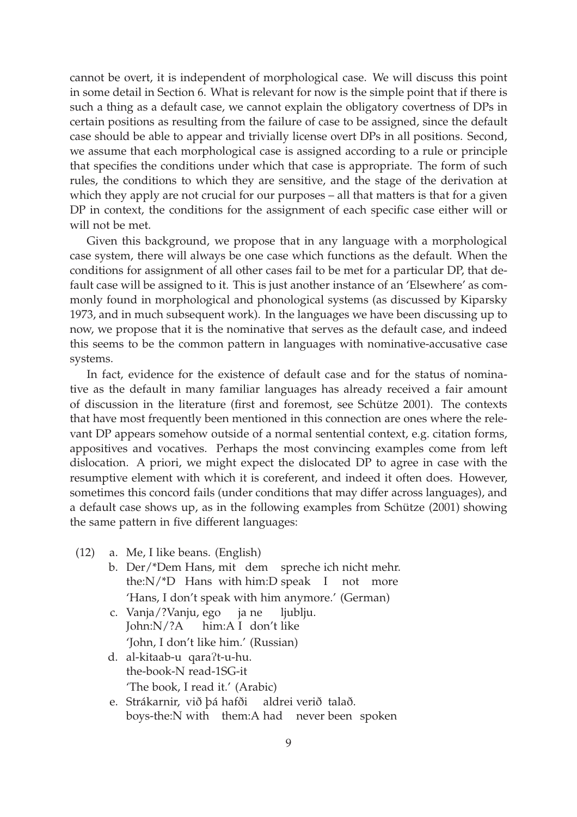cannot be overt, it is independent of morphological case. We will discuss this point in some detail in Section 6. What is relevant for now is the simple point that if there is such a thing as a default case, we cannot explain the obligatory covertness of DPs in certain positions as resulting from the failure of case to be assigned, since the default case should be able to appear and trivially license overt DPs in all positions. Second, we assume that each morphological case is assigned according to a rule or principle that specifies the conditions under which that case is appropriate. The form of such rules, the conditions to which they are sensitive, and the stage of the derivation at which they apply are not crucial for our purposes – all that matters is that for a given DP in context, the conditions for the assignment of each specific case either will or will not be met.

Given this background, we propose that in any language with a morphological case system, there will always be one case which functions as the default. When the conditions for assignment of all other cases fail to be met for a particular DP, that default case will be assigned to it. This is just another instance of an 'Elsewhere' as commonly found in morphological and phonological systems (as discussed by Kiparsky 1973, and in much subsequent work). In the languages we have been discussing up to now, we propose that it is the nominative that serves as the default case, and indeed this seems to be the common pattern in languages with nominative-accusative case systems.

In fact, evidence for the existence of default case and for the status of nominative as the default in many familiar languages has already received a fair amount of discussion in the literature (first and foremost, see Schütze 2001). The contexts that have most frequently been mentioned in this connection are ones where the relevant DP appears somehow outside of a normal sentential context, e.g. citation forms, appositives and vocatives. Perhaps the most convincing examples come from left dislocation. A priori, we might expect the dislocated DP to agree in case with the resumptive element with which it is coreferent, and indeed it often does. However, sometimes this concord fails (under conditions that may differ across languages), and a default case shows up, as in the following examples from Schütze (2001) showing the same pattern in five different languages:

- (12) a. Me, I like beans. (English)
	- b. Der/\*Dem Hans, mit dem spreche ich nicht mehr. the:N/\*D Hans with him:D speak I not more 'Hans, I don't speak with him anymore.' (German)
	- c. Vanja/?Vanju, ego John:N/?A him:A I don't like ja ne ljublju. 'John, I don't like him.' (Russian)
	- d. al-kitaab-u qaraPt-u-hu. the-book-N read-1SG-it 'The book, I read it.' (Arabic)
	- e. Strákarnir, við þá hafði boys-the:N with them:A had never been spoken aldrei verið talað.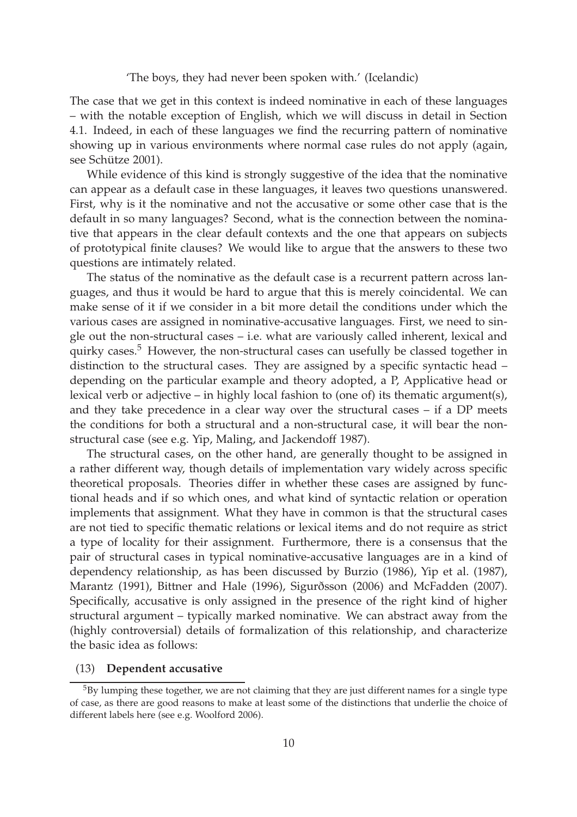#### 'The boys, they had never been spoken with.' (Icelandic)

The case that we get in this context is indeed nominative in each of these languages – with the notable exception of English, which we will discuss in detail in Section 4.1. Indeed, in each of these languages we find the recurring pattern of nominative showing up in various environments where normal case rules do not apply (again, see Schütze 2001).

While evidence of this kind is strongly suggestive of the idea that the nominative can appear as a default case in these languages, it leaves two questions unanswered. First, why is it the nominative and not the accusative or some other case that is the default in so many languages? Second, what is the connection between the nominative that appears in the clear default contexts and the one that appears on subjects of prototypical finite clauses? We would like to argue that the answers to these two questions are intimately related.

The status of the nominative as the default case is a recurrent pattern across languages, and thus it would be hard to argue that this is merely coincidental. We can make sense of it if we consider in a bit more detail the conditions under which the various cases are assigned in nominative-accusative languages. First, we need to single out the non-structural cases – i.e. what are variously called inherent, lexical and quirky cases. $5$  However, the non-structural cases can usefully be classed together in distinction to the structural cases. They are assigned by a specific syntactic head – depending on the particular example and theory adopted, a P, Applicative head or lexical verb or adjective – in highly local fashion to (one of) its thematic argument(s), and they take precedence in a clear way over the structural cases – if a DP meets the conditions for both a structural and a non-structural case, it will bear the nonstructural case (see e.g. Yip, Maling, and Jackendoff 1987).

The structural cases, on the other hand, are generally thought to be assigned in a rather different way, though details of implementation vary widely across specific theoretical proposals. Theories differ in whether these cases are assigned by functional heads and if so which ones, and what kind of syntactic relation or operation implements that assignment. What they have in common is that the structural cases are not tied to specific thematic relations or lexical items and do not require as strict a type of locality for their assignment. Furthermore, there is a consensus that the pair of structural cases in typical nominative-accusative languages are in a kind of dependency relationship, as has been discussed by Burzio (1986), Yip et al. (1987), Marantz (1991), Bittner and Hale (1996), Sigurðsson (2006) and McFadden (2007). Specifically, accusative is only assigned in the presence of the right kind of higher structural argument – typically marked nominative. We can abstract away from the (highly controversial) details of formalization of this relationship, and characterize the basic idea as follows:

#### (13) **Dependent accusative**

 $5By$  lumping these together, we are not claiming that they are just different names for a single type of case, as there are good reasons to make at least some of the distinctions that underlie the choice of different labels here (see e.g. Woolford 2006).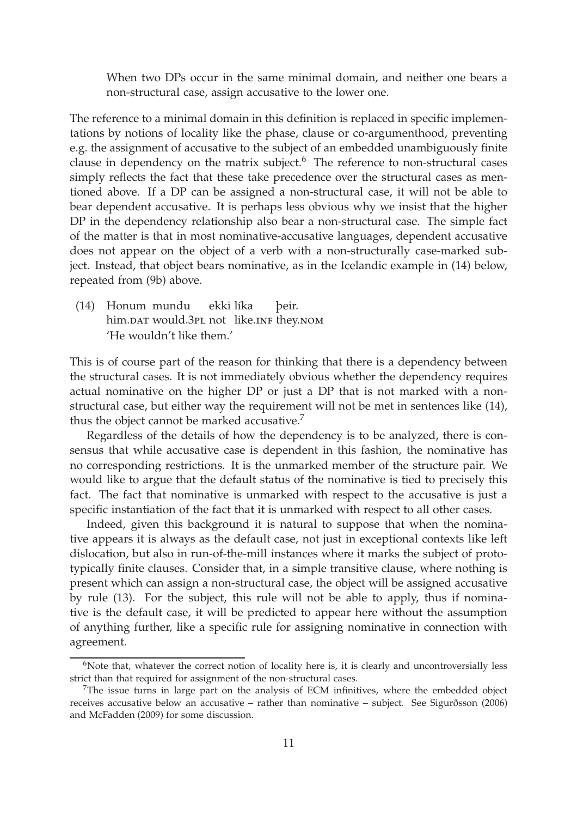When two DPs occur in the same minimal domain, and neither one bears a non-structural case, assign accusative to the lower one.

The reference to a minimal domain in this definition is replaced in specific implementations by notions of locality like the phase, clause or co-argumenthood, preventing e.g. the assignment of accusative to the subject of an embedded unambiguously finite clause in dependency on the matrix subject. $6$  The reference to non-structural cases simply reflects the fact that these take precedence over the structural cases as mentioned above. If a DP can be assigned a non-structural case, it will not be able to bear dependent accusative. It is perhaps less obvious why we insist that the higher DP in the dependency relationship also bear a non-structural case. The simple fact of the matter is that in most nominative-accusative languages, dependent accusative does not appear on the object of a verb with a non-structurally case-marked subject. Instead, that object bears nominative, as in the Icelandic example in (14) below, repeated from (9b) above.

(14) Honum mundu him.par would.3pL not like.inf they.nom ekki líka þeir. 'He wouldn't like them.'

This is of course part of the reason for thinking that there is a dependency between the structural cases. It is not immediately obvious whether the dependency requires actual nominative on the higher DP or just a DP that is not marked with a nonstructural case, but either way the requirement will not be met in sentences like (14), thus the object cannot be marked accusative. $7$ 

Regardless of the details of how the dependency is to be analyzed, there is consensus that while accusative case is dependent in this fashion, the nominative has no corresponding restrictions. It is the unmarked member of the structure pair. We would like to argue that the default status of the nominative is tied to precisely this fact. The fact that nominative is unmarked with respect to the accusative is just a specific instantiation of the fact that it is unmarked with respect to all other cases.

Indeed, given this background it is natural to suppose that when the nominative appears it is always as the default case, not just in exceptional contexts like left dislocation, but also in run-of-the-mill instances where it marks the subject of prototypically finite clauses. Consider that, in a simple transitive clause, where nothing is present which can assign a non-structural case, the object will be assigned accusative by rule (13). For the subject, this rule will not be able to apply, thus if nominative is the default case, it will be predicted to appear here without the assumption of anything further, like a specific rule for assigning nominative in connection with agreement.

 $6$ Note that, whatever the correct notion of locality here is, it is clearly and uncontroversially less strict than that required for assignment of the non-structural cases.

 $7$ The issue turns in large part on the analysis of ECM infinitives, where the embedded object receives accusative below an accusative – rather than nominative – subject. See Sigurðsson (2006) and McFadden (2009) for some discussion.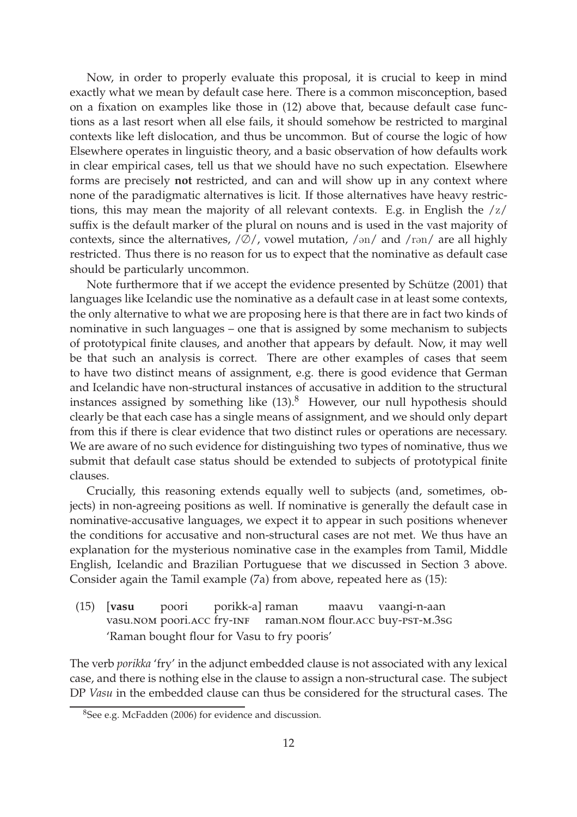Now, in order to properly evaluate this proposal, it is crucial to keep in mind exactly what we mean by default case here. There is a common misconception, based on a fixation on examples like those in (12) above that, because default case functions as a last resort when all else fails, it should somehow be restricted to marginal contexts like left dislocation, and thus be uncommon. But of course the logic of how Elsewhere operates in linguistic theory, and a basic observation of how defaults work in clear empirical cases, tell us that we should have no such expectation. Elsewhere forms are precisely **not** restricted, and can and will show up in any context where none of the paradigmatic alternatives is licit. If those alternatives have heavy restrictions, this may mean the majority of all relevant contexts. E.g. in English the /z/ suffix is the default marker of the plural on nouns and is used in the vast majority of contexts, since the alternatives,  $/\emptyset$ , vowel mutation,  $/\text{on}/$  and  $/\text{ron}/$  are all highly restricted. Thus there is no reason for us to expect that the nominative as default case should be particularly uncommon.

Note furthermore that if we accept the evidence presented by Schütze (2001) that languages like Icelandic use the nominative as a default case in at least some contexts, the only alternative to what we are proposing here is that there are in fact two kinds of nominative in such languages – one that is assigned by some mechanism to subjects of prototypical finite clauses, and another that appears by default. Now, it may well be that such an analysis is correct. There are other examples of cases that seem to have two distinct means of assignment, e.g. there is good evidence that German and Icelandic have non-structural instances of accusative in addition to the structural instances assigned by something like  $(13).<sup>8</sup>$  However, our null hypothesis should clearly be that each case has a single means of assignment, and we should only depart from this if there is clear evidence that two distinct rules or operations are necessary. We are aware of no such evidence for distinguishing two types of nominative, thus we submit that default case status should be extended to subjects of prototypical finite clauses.

Crucially, this reasoning extends equally well to subjects (and, sometimes, objects) in non-agreeing positions as well. If nominative is generally the default case in nominative-accusative languages, we expect it to appear in such positions whenever the conditions for accusative and non-structural cases are not met. We thus have an explanation for the mysterious nominative case in the examples from Tamil, Middle English, Icelandic and Brazilian Portuguese that we discussed in Section 3 above. Consider again the Tamil example (7a) from above, repeated here as (15):

(15) [**vasu** vasu.nom poori.acc fry-inf poori porikk-a] raman raman.nom flour.acc buy-pst-m.3sg maavu vaangi-n-aan 'Raman bought flour for Vasu to fry pooris'

The verb *porikka* 'fry' in the adjunct embedded clause is not associated with any lexical case, and there is nothing else in the clause to assign a non-structural case. The subject DP *Vasu* in the embedded clause can thus be considered for the structural cases. The

<sup>8</sup>See e.g. McFadden (2006) for evidence and discussion.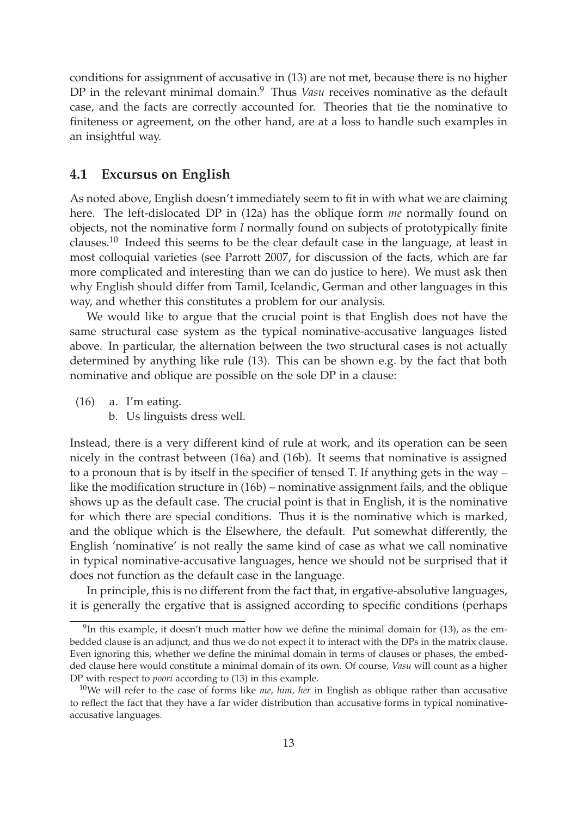conditions for assignment of accusative in (13) are not met, because there is no higher DP in the relevant minimal domain.<sup>9</sup> Thus *Vasu* receives nominative as the default case, and the facts are correctly accounted for. Theories that tie the nominative to finiteness or agreement, on the other hand, are at a loss to handle such examples in an insightful way.

#### **4.1 Excursus on English**

As noted above, English doesn't immediately seem to fit in with what we are claiming here. The left-dislocated DP in (12a) has the oblique form *me* normally found on objects, not the nominative form *I* normally found on subjects of prototypically finite clauses.<sup>10</sup> Indeed this seems to be the clear default case in the language, at least in most colloquial varieties (see Parrott 2007, for discussion of the facts, which are far more complicated and interesting than we can do justice to here). We must ask then why English should differ from Tamil, Icelandic, German and other languages in this way, and whether this constitutes a problem for our analysis.

We would like to argue that the crucial point is that English does not have the same structural case system as the typical nominative-accusative languages listed above. In particular, the alternation between the two structural cases is not actually determined by anything like rule (13). This can be shown e.g. by the fact that both nominative and oblique are possible on the sole DP in a clause:

(16) a. I'm eating.

b. Us linguists dress well.

Instead, there is a very different kind of rule at work, and its operation can be seen nicely in the contrast between (16a) and (16b). It seems that nominative is assigned to a pronoun that is by itself in the specifier of tensed T. If anything gets in the way – like the modification structure in (16b) – nominative assignment fails, and the oblique shows up as the default case. The crucial point is that in English, it is the nominative for which there are special conditions. Thus it is the nominative which is marked, and the oblique which is the Elsewhere, the default. Put somewhat differently, the English 'nominative' is not really the same kind of case as what we call nominative in typical nominative-accusative languages, hence we should not be surprised that it does not function as the default case in the language.

In principle, this is no different from the fact that, in ergative-absolutive languages, it is generally the ergative that is assigned according to specific conditions (perhaps

 $9^9$ In this example, it doesn't much matter how we define the minimal domain for (13), as the embedded clause is an adjunct, and thus we do not expect it to interact with the DPs in the matrix clause. Even ignoring this, whether we define the minimal domain in terms of clauses or phases, the embedded clause here would constitute a minimal domain of its own. Of course, *Vasu* will count as a higher DP with respect to *poori* according to (13) in this example.

<sup>10</sup>We will refer to the case of forms like *me, him, her* in English as oblique rather than accusative to reflect the fact that they have a far wider distribution than accusative forms in typical nominativeaccusative languages.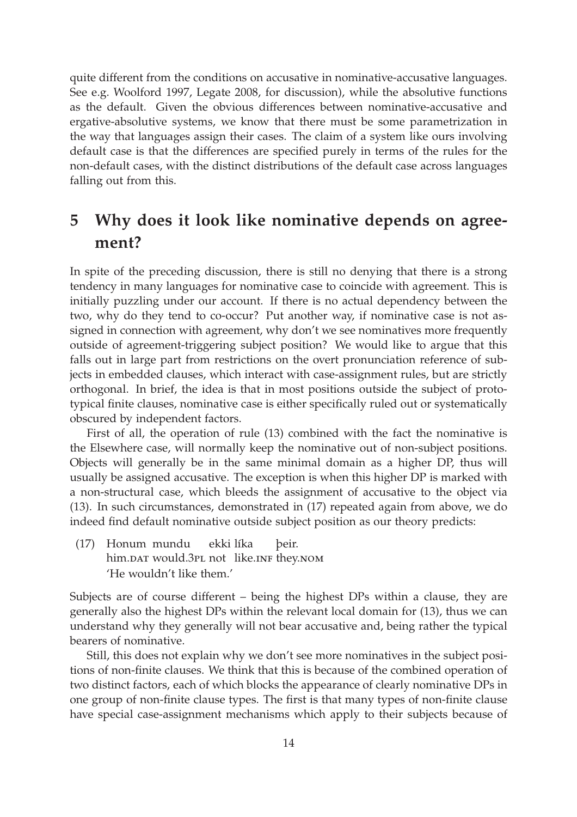quite different from the conditions on accusative in nominative-accusative languages. See e.g. Woolford 1997, Legate 2008, for discussion), while the absolutive functions as the default. Given the obvious differences between nominative-accusative and ergative-absolutive systems, we know that there must be some parametrization in the way that languages assign their cases. The claim of a system like ours involving default case is that the differences are specified purely in terms of the rules for the non-default cases, with the distinct distributions of the default case across languages falling out from this.

# **5 Why does it look like nominative depends on agreement?**

In spite of the preceding discussion, there is still no denying that there is a strong tendency in many languages for nominative case to coincide with agreement. This is initially puzzling under our account. If there is no actual dependency between the two, why do they tend to co-occur? Put another way, if nominative case is not assigned in connection with agreement, why don't we see nominatives more frequently outside of agreement-triggering subject position? We would like to argue that this falls out in large part from restrictions on the overt pronunciation reference of subjects in embedded clauses, which interact with case-assignment rules, but are strictly orthogonal. In brief, the idea is that in most positions outside the subject of prototypical finite clauses, nominative case is either specifically ruled out or systematically obscured by independent factors.

First of all, the operation of rule (13) combined with the fact the nominative is the Elsewhere case, will normally keep the nominative out of non-subject positions. Objects will generally be in the same minimal domain as a higher DP, thus will usually be assigned accusative. The exception is when this higher DP is marked with a non-structural case, which bleeds the assignment of accusative to the object via (13). In such circumstances, demonstrated in (17) repeated again from above, we do indeed find default nominative outside subject position as our theory predicts:

(17) Honum mundu him.par would.3pL not like.inf they.nom ekki líka þeir. 'He wouldn't like them.'

Subjects are of course different – being the highest DPs within a clause, they are generally also the highest DPs within the relevant local domain for (13), thus we can understand why they generally will not bear accusative and, being rather the typical bearers of nominative.

Still, this does not explain why we don't see more nominatives in the subject positions of non-finite clauses. We think that this is because of the combined operation of two distinct factors, each of which blocks the appearance of clearly nominative DPs in one group of non-finite clause types. The first is that many types of non-finite clause have special case-assignment mechanisms which apply to their subjects because of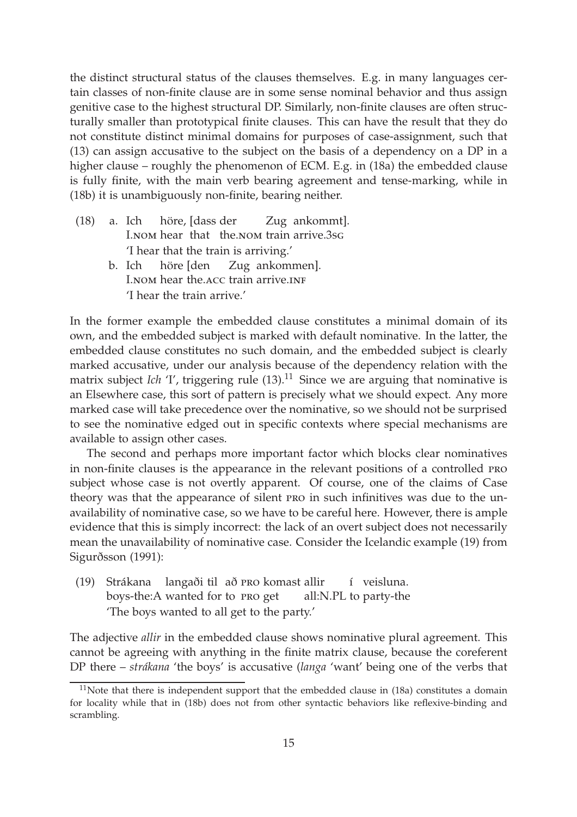the distinct structural status of the clauses themselves. E.g. in many languages certain classes of non-finite clause are in some sense nominal behavior and thus assign genitive case to the highest structural DP. Similarly, non-finite clauses are often structurally smaller than prototypical finite clauses. This can have the result that they do not constitute distinct minimal domains for purposes of case-assignment, such that (13) can assign accusative to the subject on the basis of a dependency on a DP in a higher clause – roughly the phenomenon of ECM. E.g. in (18a) the embedded clause is fully finite, with the main verb bearing agreement and tense-marking, while in (18b) it is unambiguously non-finite, bearing neither.

- (18) a. Ich I.nom hear that the.nom train arrive.3sg höre, [dass der Zug ankommt]. 'I hear that the train is arriving.'
	- b. Ich I. NOM hear the. ACC train arrive. INF höre [den Zug ankommen]. 'I hear the train arrive.'

In the former example the embedded clause constitutes a minimal domain of its own, and the embedded subject is marked with default nominative. In the latter, the embedded clause constitutes no such domain, and the embedded subject is clearly marked accusative, under our analysis because of the dependency relation with the matrix subject *Ich* 'I', triggering rule  $(13)$ .<sup>11</sup> Since we are arguing that nominative is an Elsewhere case, this sort of pattern is precisely what we should expect. Any more marked case will take precedence over the nominative, so we should not be surprised to see the nominative edged out in specific contexts where special mechanisms are available to assign other cases.

The second and perhaps more important factor which blocks clear nominatives in non-finite clauses is the appearance in the relevant positions of a controlled pro subject whose case is not overtly apparent. Of course, one of the claims of Case theory was that the appearance of silent pro in such infinitives was due to the unavailability of nominative case, so we have to be careful here. However, there is ample evidence that this is simply incorrect: the lack of an overt subject does not necessarily mean the unavailability of nominative case. Consider the Icelandic example (19) from Sigurðsson (1991):

(19) Strákana langaði til að pro komast allir boys-the:A wanted for to PRO get all:N.PL to party-the í veisluna. 'The boys wanted to all get to the party.'

The adjective *allir* in the embedded clause shows nominative plural agreement. This cannot be agreeing with anything in the finite matrix clause, because the coreferent DP there – *strákana* 'the boys' is accusative (*langa* 'want' being one of the verbs that

 $11$ Note that there is independent support that the embedded clause in (18a) constitutes a domain for locality while that in (18b) does not from other syntactic behaviors like reflexive-binding and scrambling.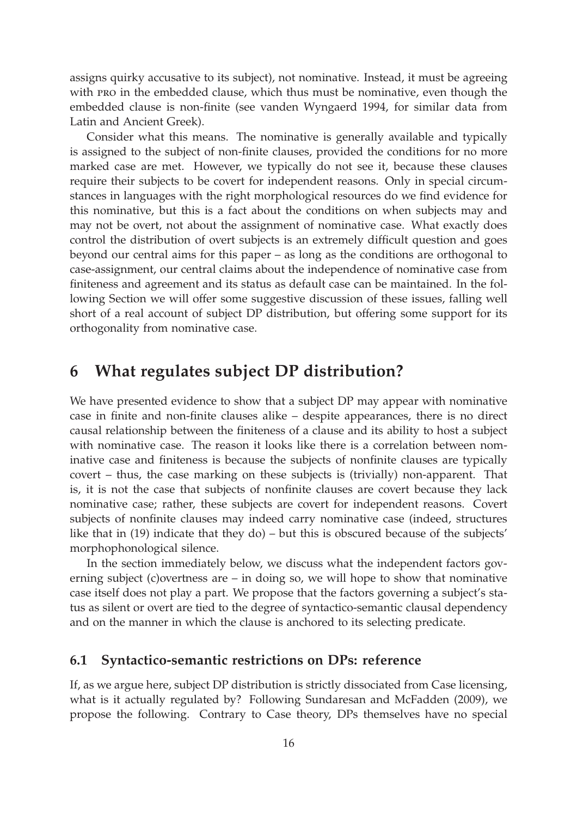assigns quirky accusative to its subject), not nominative. Instead, it must be agreeing with pro in the embedded clause, which thus must be nominative, even though the embedded clause is non-finite (see vanden Wyngaerd 1994, for similar data from Latin and Ancient Greek).

Consider what this means. The nominative is generally available and typically is assigned to the subject of non-finite clauses, provided the conditions for no more marked case are met. However, we typically do not see it, because these clauses require their subjects to be covert for independent reasons. Only in special circumstances in languages with the right morphological resources do we find evidence for this nominative, but this is a fact about the conditions on when subjects may and may not be overt, not about the assignment of nominative case. What exactly does control the distribution of overt subjects is an extremely difficult question and goes beyond our central aims for this paper – as long as the conditions are orthogonal to case-assignment, our central claims about the independence of nominative case from finiteness and agreement and its status as default case can be maintained. In the following Section we will offer some suggestive discussion of these issues, falling well short of a real account of subject DP distribution, but offering some support for its orthogonality from nominative case.

# **6 What regulates subject DP distribution?**

We have presented evidence to show that a subject DP may appear with nominative case in finite and non-finite clauses alike – despite appearances, there is no direct causal relationship between the finiteness of a clause and its ability to host a subject with nominative case. The reason it looks like there is a correlation between nominative case and finiteness is because the subjects of nonfinite clauses are typically covert – thus, the case marking on these subjects is (trivially) non-apparent. That is, it is not the case that subjects of nonfinite clauses are covert because they lack nominative case; rather, these subjects are covert for independent reasons. Covert subjects of nonfinite clauses may indeed carry nominative case (indeed, structures like that in (19) indicate that they do) – but this is obscured because of the subjects' morphophonological silence.

In the section immediately below, we discuss what the independent factors governing subject (c)overtness are – in doing so, we will hope to show that nominative case itself does not play a part. We propose that the factors governing a subject's status as silent or overt are tied to the degree of syntactico-semantic clausal dependency and on the manner in which the clause is anchored to its selecting predicate.

#### **6.1 Syntactico-semantic restrictions on DPs: reference**

If, as we argue here, subject DP distribution is strictly dissociated from Case licensing, what is it actually regulated by? Following Sundaresan and McFadden (2009), we propose the following. Contrary to Case theory, DPs themselves have no special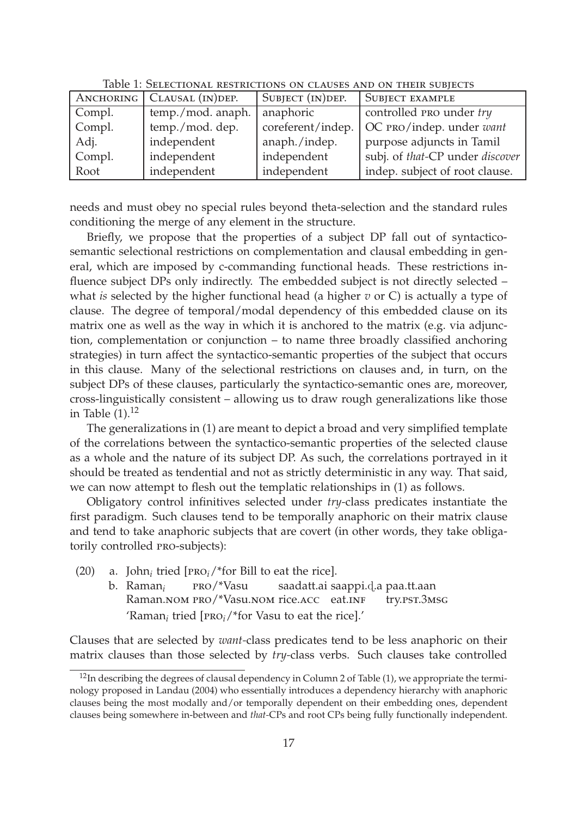|        | ANCHORING   CLAUSAL (IN) DEP. | SUBJECT (IN) DEP. | <b>SUBJECT EXAMPLE</b>          |
|--------|-------------------------------|-------------------|---------------------------------|
| Compl. | temp./mod. anaph.             | anaphoric         | controlled PRO under try        |
| Compl. | temp./mod. dep.               | coreferent/indep. | OC PRO/indep. under want        |
| Adj.   | independent                   | anaph./indep.     | purpose adjuncts in Tamil       |
| Compl. | independent                   | independent       | subj. of that-CP under discover |
| Root   | independent                   | independent       | indep. subject of root clause.  |

Table 1: Selectional restrictions on clauses and on their subjects

needs and must obey no special rules beyond theta-selection and the standard rules conditioning the merge of any element in the structure.

Briefly, we propose that the properties of a subject DP fall out of syntacticosemantic selectional restrictions on complementation and clausal embedding in general, which are imposed by c-commanding functional heads. These restrictions influence subject DPs only indirectly. The embedded subject is not directly selected – what *is* selected by the higher functional head (a higher *v* or C) is actually a type of clause. The degree of temporal/modal dependency of this embedded clause on its matrix one as well as the way in which it is anchored to the matrix (e.g. via adjunction, complementation or conjunction – to name three broadly classified anchoring strategies) in turn affect the syntactico-semantic properties of the subject that occurs in this clause. Many of the selectional restrictions on clauses and, in turn, on the subject DPs of these clauses, particularly the syntactico-semantic ones are, moreover, cross-linguistically consistent – allowing us to draw rough generalizations like those in Table  $(1).<sup>12</sup>$ 

The generalizations in (1) are meant to depict a broad and very simplified template of the correlations between the syntactico-semantic properties of the selected clause as a whole and the nature of its subject DP. As such, the correlations portrayed in it should be treated as tendential and not as strictly deterministic in any way. That said, we can now attempt to flesh out the templatic relationships in (1) as follows.

Obligatory control infinitives selected under *try-*class predicates instantiate the first paradigm. Such clauses tend to be temporally anaphoric on their matrix clause and tend to take anaphoric subjects that are covert (in other words, they take obligatorily controlled pro-subjects):

- (20) a. John<sub>*i*</sub> tried [ $PRO<sub>i</sub>/*$  for Bill to eat the rice].
	- b. Raman*<sup>i</sup>* Raman.nom PRO/\*Vasu.nom rice.acc eat.inf pro/\*Vasu saadatt.ai saappi.d.a paa.tt.aan try.pst.3msg 'Raman*<sup>i</sup>* tried [pro*i*/\*for Vasu to eat the rice].'

Clauses that are selected by *want-*class predicates tend to be less anaphoric on their matrix clauses than those selected by *try-*class verbs. Such clauses take controlled

 $12$ In describing the degrees of clausal dependency in Column 2 of Table (1), we appropriate the terminology proposed in Landau (2004) who essentially introduces a dependency hierarchy with anaphoric clauses being the most modally and/or temporally dependent on their embedding ones, dependent clauses being somewhere in-between and *that-*CPs and root CPs being fully functionally independent.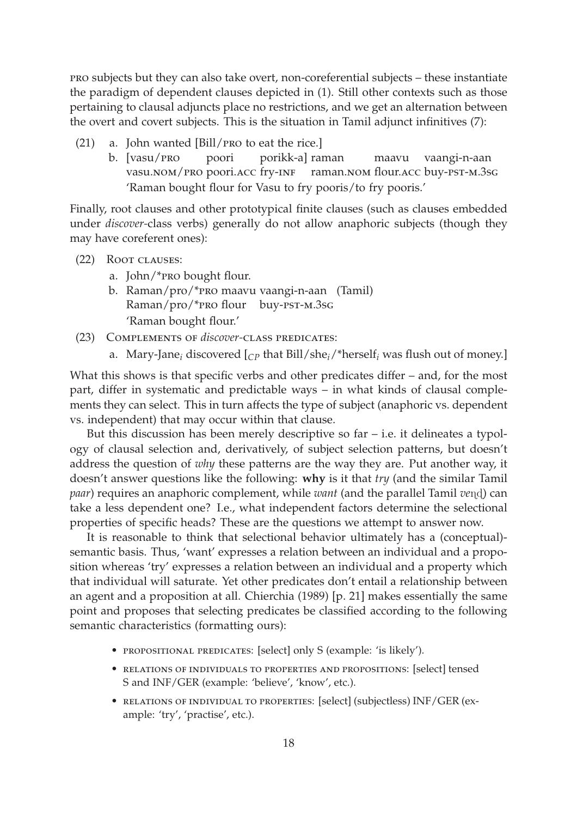pro subjects but they can also take overt, non-coreferential subjects – these instantiate the paradigm of dependent clauses depicted in (1). Still other contexts such as those pertaining to clausal adjuncts place no restrictions, and we get an alternation between the overt and covert subjects. This is the situation in Tamil adjunct infinitives (7):

- (21) a. John wanted [Bill/pro to eat the rice.]
	- b. [vasu/pro vasu.nom/pro poori.acc fry-inf poori porikk-a] raman raman.nom flour.acc buy-pst-m.3sg maavu vaangi-n-aan 'Raman bought flour for Vasu to fry pooris/to fry pooris.'

Finally, root clauses and other prototypical finite clauses (such as clauses embedded under *discover-*class verbs) generally do not allow anaphoric subjects (though they may have coreferent ones):

- (22) Root clauses:
	- a. John/\*pro bought flour.
	- b. Raman/pro/\*pro maavu vaangi-n-aan (Tamil) Raman/pro/\*pro flour buy-pst-m.3sg 'Raman bought flour.'
- (23) Complements of *discover-*class predicates:
	- a. Mary-Jane*<sup>i</sup>* discovered [*CP* that Bill/she*i*/\*herself*<sup>i</sup>* was flush out of money.]

What this shows is that specific verbs and other predicates differ – and, for the most part, differ in systematic and predictable ways – in what kinds of clausal complements they can select. This in turn affects the type of subject (anaphoric vs. dependent vs. independent) that may occur within that clause.

But this discussion has been merely descriptive so  $far$  – i.e. it delineates a typology of clausal selection and, derivatively, of subject selection patterns, but doesn't address the question of *why* these patterns are the way they are. Put another way, it doesn't answer questions like the following: **why** is it that *try* (and the similar Tamil *paar*) requires an anaphoric complement, while *want* (and the parallel Tamil *ve*nd) can take a less dependent one? I.e., what independent factors determine the selectional properties of specific heads? These are the questions we attempt to answer now.

It is reasonable to think that selectional behavior ultimately has a (conceptual) semantic basis. Thus, 'want' expresses a relation between an individual and a proposition whereas 'try' expresses a relation between an individual and a property which that individual will saturate. Yet other predicates don't entail a relationship between an agent and a proposition at all. Chierchia (1989) [p. 21] makes essentially the same point and proposes that selecting predicates be classified according to the following semantic characteristics (formatting ours):

- propositional predicates: [select] only S (example: 'is likely').
- relations of individuals to properties and propositions: [select] tensed S and INF/GER (example: 'believe', 'know', etc.).
- relations of individual to properties: [select] (subjectless) INF/GER (example: 'try', 'practise', etc.).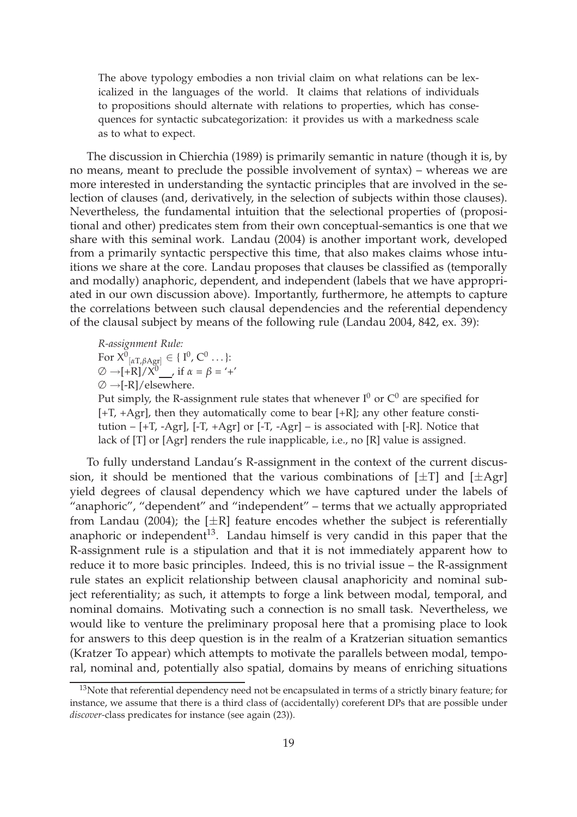The above typology embodies a non trivial claim on what relations can be lexicalized in the languages of the world. It claims that relations of individuals to propositions should alternate with relations to properties, which has consequences for syntactic subcategorization: it provides us with a markedness scale as to what to expect.

The discussion in Chierchia (1989) is primarily semantic in nature (though it is, by no means, meant to preclude the possible involvement of syntax) – whereas we are more interested in understanding the syntactic principles that are involved in the selection of clauses (and, derivatively, in the selection of subjects within those clauses). Nevertheless, the fundamental intuition that the selectional properties of (propositional and other) predicates stem from their own conceptual-semantics is one that we share with this seminal work. Landau (2004) is another important work, developed from a primarily syntactic perspective this time, that also makes claims whose intuitions we share at the core. Landau proposes that clauses be classified as (temporally and modally) anaphoric, dependent, and independent (labels that we have appropriated in our own discussion above). Importantly, furthermore, he attempts to capture the correlations between such clausal dependencies and the referential dependency of the clausal subject by means of the following rule (Landau 2004, 842, ex. 39):

*R-assignment Rule:* For  $X^0_{\lbrack \alpha \text{T}, \beta \text{Agr} \rbrack} \in \{ 1^0, \text{C}^0 \dots \}$ :  $\varnothing \rightarrow +R]/X^0$ , if  $\alpha = \beta = '+'$  $\varnothing \rightarrow [-R]/e$ lsewhere.

Put simply, the R-assignment rule states that whenever  $I^0$  or  $C^0$  are specified for  $[+T, +Agr]$ , then they automatically come to bear  $[+R]$ ; any other feature constitution  $-[+T, -Agr]$ ,  $[-T, +Agr]$  or  $[-T, -Agr]$  – is associated with  $[-R]$ . Notice that lack of [T] or [Agr] renders the rule inapplicable, i.e., no [R] value is assigned.

To fully understand Landau's R-assignment in the context of the current discussion, it should be mentioned that the various combinations of  $[\pm T]$  and  $[\pm Agr]$ yield degrees of clausal dependency which we have captured under the labels of "anaphoric", "dependent" and "independent" – terms that we actually appropriated from Landau (2004); the  $[\pm R]$  feature encodes whether the subject is referentially anaphoric or independent $13$ . Landau himself is very candid in this paper that the R-assignment rule is a stipulation and that it is not immediately apparent how to reduce it to more basic principles. Indeed, this is no trivial issue – the R-assignment rule states an explicit relationship between clausal anaphoricity and nominal subject referentiality; as such, it attempts to forge a link between modal, temporal, and nominal domains. Motivating such a connection is no small task. Nevertheless, we would like to venture the preliminary proposal here that a promising place to look for answers to this deep question is in the realm of a Kratzerian situation semantics (Kratzer To appear) which attempts to motivate the parallels between modal, temporal, nominal and, potentially also spatial, domains by means of enriching situations

<sup>&</sup>lt;sup>13</sup>Note that referential dependency need not be encapsulated in terms of a strictly binary feature; for instance, we assume that there is a third class of (accidentally) coreferent DPs that are possible under *discover-*class predicates for instance (see again (23)).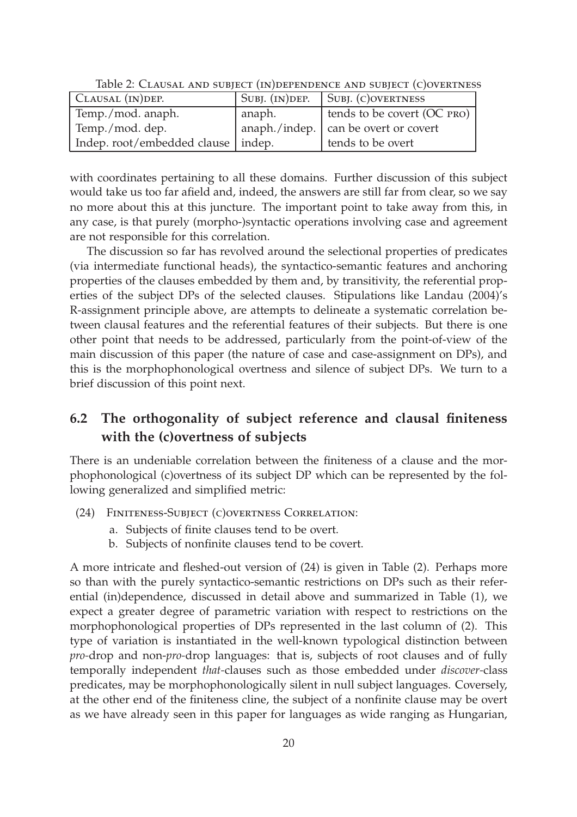| CLAUSAL (IN) DEP.                    | SUBJ. $(IN)$ DEP. | SUBJ. (C) OVERTNESS                    |
|--------------------------------------|-------------------|----------------------------------------|
| Temp./mod. anaph.                    | anaph.            | tends to be covert (OC PRO)            |
| Temp./mod. dep.                      |                   | anaph./indep.   can be overt or covert |
| Indep. root/embedded clause   indep. |                   | tends to be overt                      |

Table 2: Clausal and subject (in)dependence and subject (c)overtness

with coordinates pertaining to all these domains. Further discussion of this subject would take us too far afield and, indeed, the answers are still far from clear, so we say no more about this at this juncture. The important point to take away from this, in any case, is that purely (morpho-)syntactic operations involving case and agreement are not responsible for this correlation.

The discussion so far has revolved around the selectional properties of predicates (via intermediate functional heads), the syntactico-semantic features and anchoring properties of the clauses embedded by them and, by transitivity, the referential properties of the subject DPs of the selected clauses. Stipulations like Landau (2004)'s R-assignment principle above, are attempts to delineate a systematic correlation between clausal features and the referential features of their subjects. But there is one other point that needs to be addressed, particularly from the point-of-view of the main discussion of this paper (the nature of case and case-assignment on DPs), and this is the morphophonological overtness and silence of subject DPs. We turn to a brief discussion of this point next.

# **6.2 The orthogonality of subject reference and clausal finiteness with the (c)overtness of subjects**

There is an undeniable correlation between the finiteness of a clause and the morphophonological (c)overtness of its subject DP which can be represented by the following generalized and simplified metric:

- (24) Finiteness-Subject (c)overtness Correlation:
	- a. Subjects of finite clauses tend to be overt.
	- b. Subjects of nonfinite clauses tend to be covert.

A more intricate and fleshed-out version of (24) is given in Table (2). Perhaps more so than with the purely syntactico-semantic restrictions on DPs such as their referential (in)dependence, discussed in detail above and summarized in Table (1), we expect a greater degree of parametric variation with respect to restrictions on the morphophonological properties of DPs represented in the last column of (2). This type of variation is instantiated in the well-known typological distinction between *pro-*drop and non-*pro-*drop languages: that is, subjects of root clauses and of fully temporally independent *that-*clauses such as those embedded under *discover-*class predicates, may be morphophonologically silent in null subject languages. Coversely, at the other end of the finiteness cline, the subject of a nonfinite clause may be overt as we have already seen in this paper for languages as wide ranging as Hungarian,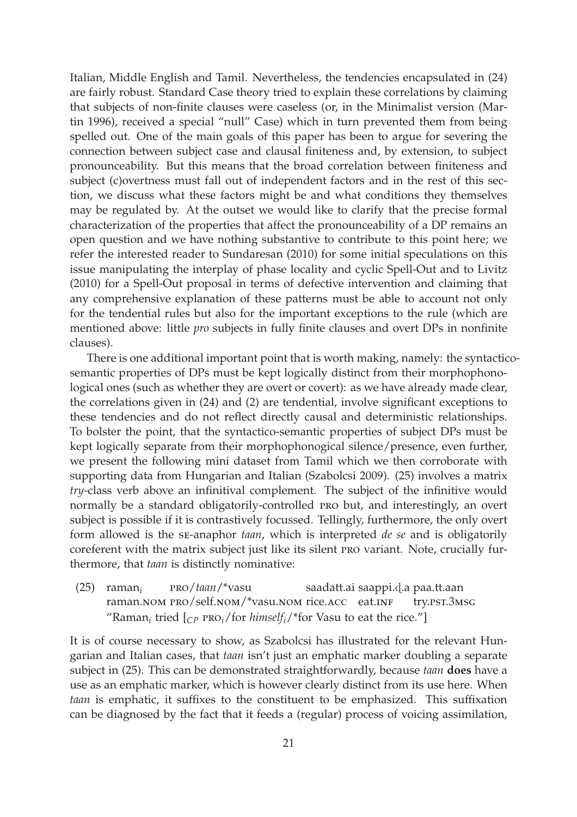Italian, Middle English and Tamil. Nevertheless, the tendencies encapsulated in (24) are fairly robust. Standard Case theory tried to explain these correlations by claiming that subjects of non-finite clauses were caseless (or, in the Minimalist version (Martin 1996), received a special "null" Case) which in turn prevented them from being spelled out. One of the main goals of this paper has been to argue for severing the connection between subject case and clausal finiteness and, by extension, to subject pronounceability. But this means that the broad correlation between finiteness and subject (c)overtness must fall out of independent factors and in the rest of this section, we discuss what these factors might be and what conditions they themselves may be regulated by. At the outset we would like to clarify that the precise formal characterization of the properties that affect the pronounceability of a DP remains an open question and we have nothing substantive to contribute to this point here; we refer the interested reader to Sundaresan (2010) for some initial speculations on this issue manipulating the interplay of phase locality and cyclic Spell-Out and to Livitz (2010) for a Spell-Out proposal in terms of defective intervention and claiming that any comprehensive explanation of these patterns must be able to account not only for the tendential rules but also for the important exceptions to the rule (which are mentioned above: little *pro* subjects in fully finite clauses and overt DPs in nonfinite clauses).

There is one additional important point that is worth making, namely: the syntacticosemantic properties of DPs must be kept logically distinct from their morphophonological ones (such as whether they are overt or covert): as we have already made clear, the correlations given in (24) and (2) are tendential, involve significant exceptions to these tendencies and do not reflect directly causal and deterministic relationships. To bolster the point, that the syntactico-semantic properties of subject DPs must be kept logically separate from their morphophonogical silence/presence, even further, we present the following mini dataset from Tamil which we then corroborate with supporting data from Hungarian and Italian (Szabolcsi 2009). (25) involves a matrix *try*-class verb above an infinitival complement. The subject of the infinitive would normally be a standard obligatorily-controlled pro but, and interestingly, an overt subject is possible if it is contrastively focussed. Tellingly, furthermore, the only overt form allowed is the se-anaphor *taan*, which is interpreted *de se* and is obligatorily coreferent with the matrix subject just like its silent pro variant. Note, crucially furthermore, that *taan* is distinctly nominative:

(25) raman*<sup>i</sup>* raman.nom pro/self.nom/\*vasu.nom rice.acc eat.inf pro/*taan*/\*vasu saadatt.ai saappi.d.a paa.tt.aan try.pst.3msg "Raman<sub>*i*</sub> tried  $\left[_{CP}$  PRO<sub>*i*</sub>/for *himself<sub>i</sub>*/\*for Vasu to eat the rice."]

It is of course necessary to show, as Szabolcsi has illustrated for the relevant Hungarian and Italian cases, that *taan* isn't just an emphatic marker doubling a separate subject in (25). This can be demonstrated straightforwardly, because *taan* **does** have a use as an emphatic marker, which is however clearly distinct from its use here. When *taan* is emphatic, it suffixes to the constituent to be emphasized. This suffixation can be diagnosed by the fact that it feeds a (regular) process of voicing assimilation,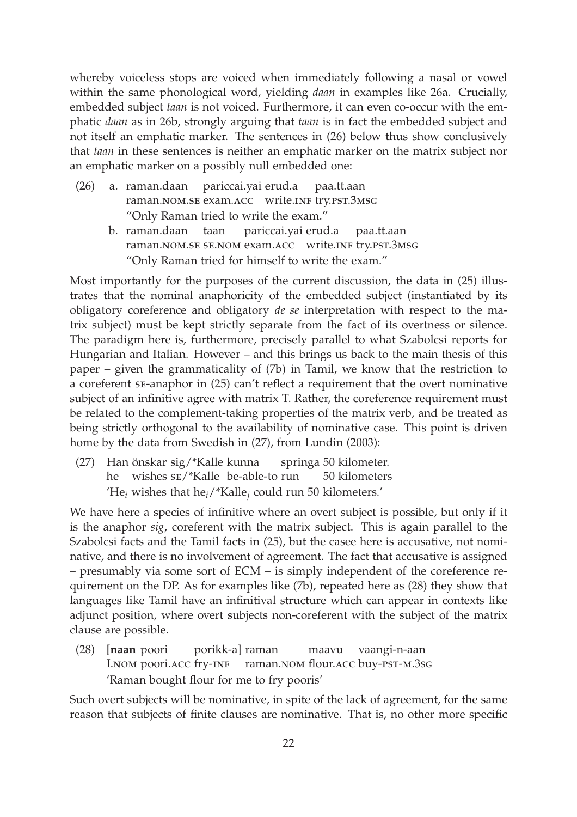whereby voiceless stops are voiced when immediately following a nasal or vowel within the same phonological word, yielding *daan* in examples like 26a. Crucially, embedded subject *taan* is not voiced. Furthermore, it can even co-occur with the emphatic *daan* as in 26b, strongly arguing that *taan* is in fact the embedded subject and not itself an emphatic marker. The sentences in (26) below thus show conclusively that *taan* in these sentences is neither an emphatic marker on the matrix subject nor an emphatic marker on a possibly null embedded one:

- (26) a. raman.daan pariccai.yai erud.a raman.nom.se exam.acc write.inf try.pst.3msg paa.tt.aan "Only Raman tried to write the exam."
	- b. raman.daan raman.nom.se se.nom exam.acc write.inf try.pst.3msg taan pariccai.yai erud.a paa.tt.aan "Only Raman tried for himself to write the exam."

Most importantly for the purposes of the current discussion, the data in (25) illustrates that the nominal anaphoricity of the embedded subject (instantiated by its obligatory coreference and obligatory *de se* interpretation with respect to the matrix subject) must be kept strictly separate from the fact of its overtness or silence. The paradigm here is, furthermore, precisely parallel to what Szabolcsi reports for Hungarian and Italian. However – and this brings us back to the main thesis of this paper – given the grammaticality of (7b) in Tamil, we know that the restriction to a coreferent se-anaphor in (25) can't reflect a requirement that the overt nominative subject of an infinitive agree with matrix T. Rather, the coreference requirement must be related to the complement-taking properties of the matrix verb, and be treated as being strictly orthogonal to the availability of nominative case. This point is driven home by the data from Swedish in (27), from Lundin (2003):

(27) Han önskar sig/\*Kalle kunna he wishes se/\*Kalle be-able-to run springa 50 kilometer. 50 kilometers 'He*<sup>i</sup>* wishes that he*i*/\*Kalle*<sup>j</sup>* could run 50 kilometers.'

We have here a species of infinitive where an overt subject is possible, but only if it is the anaphor *sig*, coreferent with the matrix subject. This is again parallel to the Szabolcsi facts and the Tamil facts in (25), but the casee here is accusative, not nominative, and there is no involvement of agreement. The fact that accusative is assigned – presumably via some sort of ECM – is simply independent of the coreference requirement on the DP. As for examples like (7b), repeated here as (28) they show that languages like Tamil have an infinitival structure which can appear in contexts like adjunct position, where overt subjects non-coreferent with the subject of the matrix clause are possible.

(28) [**naan** poori I.nom poori.acc fry-inf raman.nom flour.acc buy-pst-m.3sg porikk-a] raman maavu vaangi-n-aan 'Raman bought flour for me to fry pooris'

Such overt subjects will be nominative, in spite of the lack of agreement, for the same reason that subjects of finite clauses are nominative. That is, no other more specific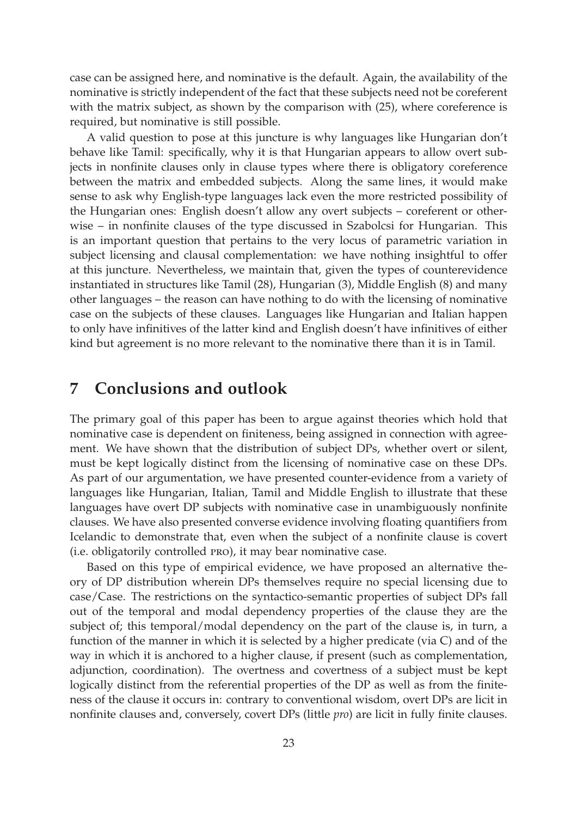case can be assigned here, and nominative is the default. Again, the availability of the nominative is strictly independent of the fact that these subjects need not be coreferent with the matrix subject, as shown by the comparison with (25), where coreference is required, but nominative is still possible.

A valid question to pose at this juncture is why languages like Hungarian don't behave like Tamil: specifically, why it is that Hungarian appears to allow overt subjects in nonfinite clauses only in clause types where there is obligatory coreference between the matrix and embedded subjects. Along the same lines, it would make sense to ask why English-type languages lack even the more restricted possibility of the Hungarian ones: English doesn't allow any overt subjects – coreferent or otherwise – in nonfinite clauses of the type discussed in Szabolcsi for Hungarian. This is an important question that pertains to the very locus of parametric variation in subject licensing and clausal complementation: we have nothing insightful to offer at this juncture. Nevertheless, we maintain that, given the types of counterevidence instantiated in structures like Tamil (28), Hungarian (3), Middle English (8) and many other languages – the reason can have nothing to do with the licensing of nominative case on the subjects of these clauses. Languages like Hungarian and Italian happen to only have infinitives of the latter kind and English doesn't have infinitives of either kind but agreement is no more relevant to the nominative there than it is in Tamil.

# **7 Conclusions and outlook**

The primary goal of this paper has been to argue against theories which hold that nominative case is dependent on finiteness, being assigned in connection with agreement. We have shown that the distribution of subject DPs, whether overt or silent, must be kept logically distinct from the licensing of nominative case on these DPs. As part of our argumentation, we have presented counter-evidence from a variety of languages like Hungarian, Italian, Tamil and Middle English to illustrate that these languages have overt DP subjects with nominative case in unambiguously nonfinite clauses. We have also presented converse evidence involving floating quantifiers from Icelandic to demonstrate that, even when the subject of a nonfinite clause is covert (i.e. obligatorily controlled pro), it may bear nominative case.

Based on this type of empirical evidence, we have proposed an alternative theory of DP distribution wherein DPs themselves require no special licensing due to case/Case. The restrictions on the syntactico-semantic properties of subject DPs fall out of the temporal and modal dependency properties of the clause they are the subject of; this temporal/modal dependency on the part of the clause is, in turn, a function of the manner in which it is selected by a higher predicate (via C) and of the way in which it is anchored to a higher clause, if present (such as complementation, adjunction, coordination). The overtness and covertness of a subject must be kept logically distinct from the referential properties of the DP as well as from the finiteness of the clause it occurs in: contrary to conventional wisdom, overt DPs are licit in nonfinite clauses and, conversely, covert DPs (little *pro*) are licit in fully finite clauses.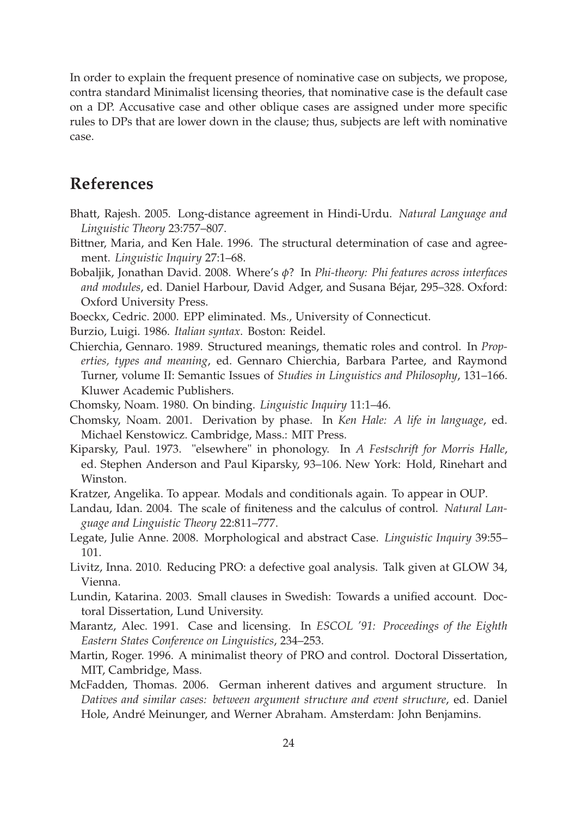In order to explain the frequent presence of nominative case on subjects, we propose, contra standard Minimalist licensing theories, that nominative case is the default case on a DP. Accusative case and other oblique cases are assigned under more specific rules to DPs that are lower down in the clause; thus, subjects are left with nominative case.

# **References**

- Bhatt, Rajesh. 2005. Long-distance agreement in Hindi-Urdu. *Natural Language and Linguistic Theory* 23:757–807.
- Bittner, Maria, and Ken Hale. 1996. The structural determination of case and agreement. *Linguistic Inquiry* 27:1–68.
- Bobaljik, Jonathan David. 2008. Where's *φ*? In *Phi-theory: Phi features across interfaces and modules*, ed. Daniel Harbour, David Adger, and Susana Béjar, 295–328. Oxford: Oxford University Press.
- Boeckx, Cedric. 2000. EPP eliminated. Ms., University of Connecticut.
- Burzio, Luigi. 1986. *Italian syntax*. Boston: Reidel.
- Chierchia, Gennaro. 1989. Structured meanings, thematic roles and control. In *Properties, types and meaning*, ed. Gennaro Chierchia, Barbara Partee, and Raymond Turner, volume II: Semantic Issues of *Studies in Linguistics and Philosophy*, 131–166. Kluwer Academic Publishers.
- Chomsky, Noam. 1980. On binding. *Linguistic Inquiry* 11:1–46.
- Chomsky, Noam. 2001. Derivation by phase. In *Ken Hale: A life in language*, ed. Michael Kenstowicz. Cambridge, Mass.: MIT Press.
- Kiparsky, Paul. 1973. "elsewhere" in phonology. In *A Festschrift for Morris Halle*, ed. Stephen Anderson and Paul Kiparsky, 93–106. New York: Hold, Rinehart and Winston.
- Kratzer, Angelika. To appear. Modals and conditionals again. To appear in OUP.
- Landau, Idan. 2004. The scale of finiteness and the calculus of control. *Natural Language and Linguistic Theory* 22:811–777.
- Legate, Julie Anne. 2008. Morphological and abstract Case. *Linguistic Inquiry* 39:55– 101.
- Livitz, Inna. 2010. Reducing PRO: a defective goal analysis. Talk given at GLOW 34, Vienna.
- Lundin, Katarina. 2003. Small clauses in Swedish: Towards a unified account. Doctoral Dissertation, Lund University.
- Marantz, Alec. 1991. Case and licensing. In *ESCOL '91: Proceedings of the Eighth Eastern States Conference on Linguistics*, 234–253.
- Martin, Roger. 1996. A minimalist theory of PRO and control. Doctoral Dissertation, MIT, Cambridge, Mass.
- McFadden, Thomas. 2006. German inherent datives and argument structure. In *Datives and similar cases: between argument structure and event structure*, ed. Daniel Hole, André Meinunger, and Werner Abraham. Amsterdam: John Benjamins.